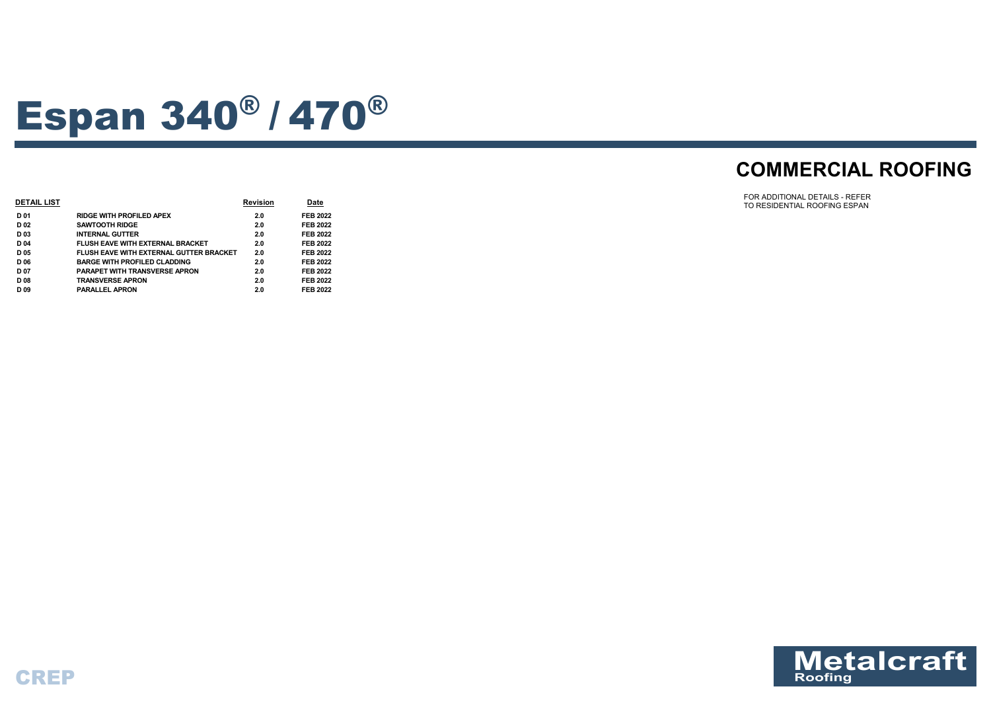

# Espan 340® / <sup>470</sup>®

# **COMMERCIAL ROOFING**



| <b>DETAIL LIST</b> |                                                | <b>Revision</b> | <b>Date</b>     |
|--------------------|------------------------------------------------|-----------------|-----------------|
| D 01               | <b>RIDGE WITH PROFILED APEX</b>                | 2.0             | <b>FEB 2022</b> |
| D <sub>02</sub>    | <b>SAWTOOTH RIDGE</b>                          | 2.0             | <b>FEB 2022</b> |
| D <sub>03</sub>    | <b>INTERNAL GUTTER</b>                         | 2.0             | <b>FEB 2022</b> |
| D 04               | <b>FLUSH EAVE WITH EXTERNAL BRACKET</b>        | 2.0             | <b>FEB 2022</b> |
| D <sub>05</sub>    | <b>FLUSH EAVE WITH EXTERNAL GUTTER BRACKET</b> | 2.0             | <b>FEB 2022</b> |
| D 06               | <b>BARGE WITH PROFILED CLADDING</b>            | 2.0             | <b>FEB 2022</b> |
| D 07               | <b>PARAPET WITH TRANSVERSE APRON</b>           | 2.0             | <b>FEB 2022</b> |
| D <sub>08</sub>    | <b>TRANSVERSE APRON</b>                        | 2.0             | <b>FEB 2022</b> |
| D <sub>09</sub>    | <b>PARALLEL APRON</b>                          | 2.0             | <b>FEB 2022</b> |
|                    |                                                |                 |                 |

FOR ADDITIONAL DETAILS - REFER TO RESIDENTIAL ROOFING ESPAN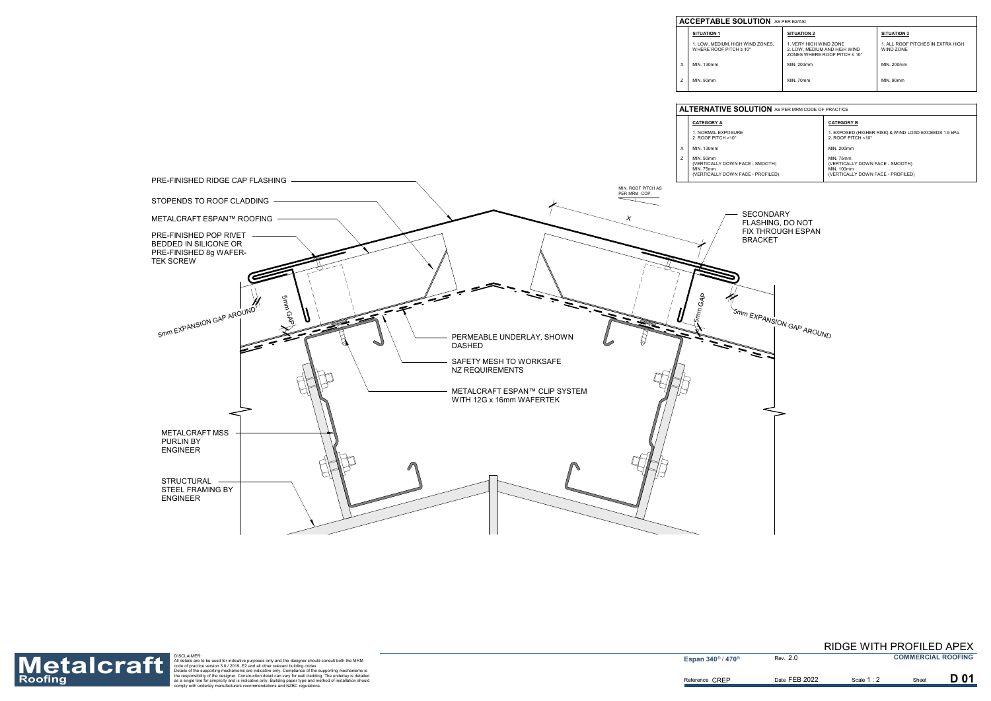

| <b>UTION</b> AS PER E2/ASI |                                                                                                    |                                                |  |
|----------------------------|----------------------------------------------------------------------------------------------------|------------------------------------------------|--|
|                            | <b>SITUATION 2</b>                                                                                 | <b>SITUATION 3</b>                             |  |
| IND ZONES.<br>١o           | 1. VERY HIGH WIND ZONE<br>2. LOW, MEDIUM AND HIGH WIND<br>ZONES WHERE ROOF PITCH $\leq 10^{\circ}$ | 1. ALL ROOF PITCHES IN EXTRA HIGH<br>WIND ZONE |  |
|                            | MIN. 200mm                                                                                         | MIN. 200mm                                     |  |
|                            | <b>MIN. 70mm</b>                                                                                   | MIN. 90mm                                      |  |

|               | <b>CATEGORY B</b>                                                                        |
|---------------|------------------------------------------------------------------------------------------|
|               | 1. EXPOSED (HIGHER RISK) & WIND LOAD EXCEEDS 1.5 kPa.<br>2. ROOF PITCH $<$ 10 $^{\circ}$ |
|               | MIN. 200mm                                                                               |
| E - SMOOTH)   | <b>MIN. 75mm</b><br>(VERTICALLY DOWN FACE - SMOOTH)<br>MIN. 100mm                        |
| E - PROFILED) | (VERTICALLY DOWN FACE - PROFILED)                                                        |

Reference CREP



Roofing<br>Roofing as a single for simplic of practice version 3.0/2019, E2 and all other relevant building codes<br>the espapority and all other relevant building codes<br>the supporting mechanisms are indicative of practice versi

**Espan 340<sup>®</sup> / 470<sup>®</sup>** 

2.0

# RIDGE WITH PROFILED APEX

**COMMERCIAL ROOFING**

**D01** 

Date FEB 2022 **Scale 1:2** Sheet

Scale **1** : 2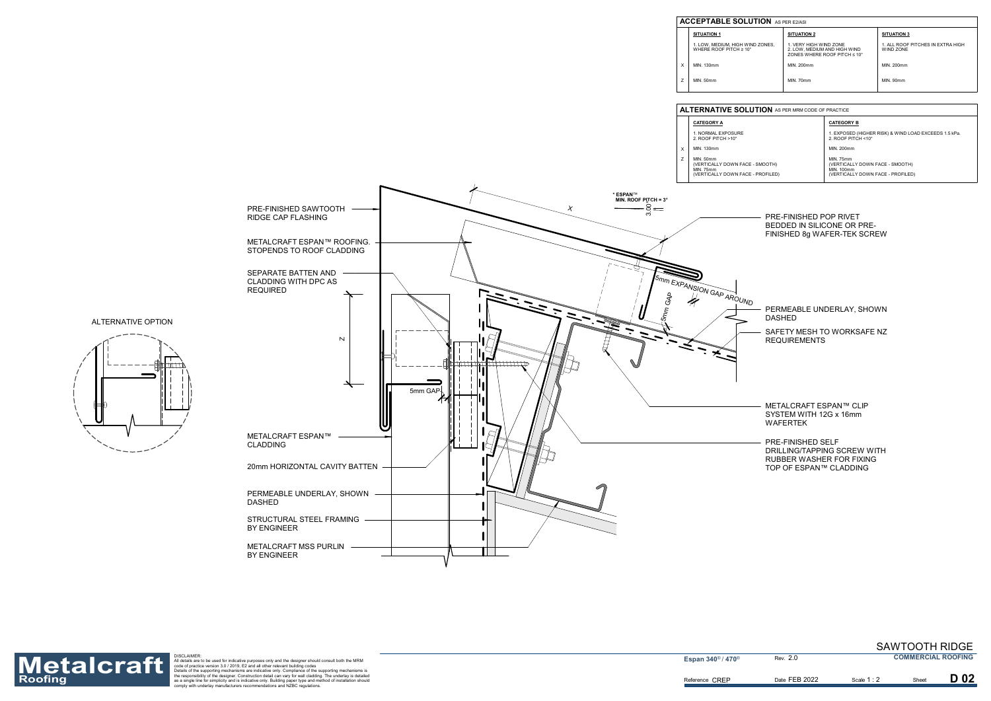| – PRF-FINISHFD POP RIVFT    |
|-----------------------------|
| BEDDED IN SILICONE OR PRE-  |
| FINISHED 8g WAFER-TEK SCREW |

- 
- PERMEABLE UNDERLAY, SHOWN DASHED
- SAFETY MESH TO WORKSAFE NZ REQUIREMENTS
- METALCRAFT ESPAN™ CLIP SYSTEM WITH 12G x 16mm WAFERTEK
- PRE-FINISHED SELF DRILLING/TAPPING SCREW WITH RUBBER WASHER FOR FIXING TOP OF ESPAN™ CLADDING

DASHED

**Espan 340<sup>®</sup> / 470<sup>®</sup>** 







## **ACCEPTABLE SOL**

**SITUATION 1** 1. LOW, MEDIUM, HIGH WIND ZONES, WHERE ROOF PITCH ≥ 10° MIN. 130mm

MIN. 50mm

| <b>UTION</b> AS PER E2/ASI |                                                                                                    |                                                |  |
|----------------------------|----------------------------------------------------------------------------------------------------|------------------------------------------------|--|
|                            | <b>SITUATION 2</b>                                                                                 | <b>SITUATION 3</b>                             |  |
| IND ZONES,<br>ገ°           | 1. VERY HIGH WIND ZONE<br>2. LOW. MEDIUM AND HIGH WIND<br>ZONES WHERE ROOF PITCH $\leq 10^{\circ}$ | 1. ALL ROOF PITCHES IN EXTRA HIGH<br>WIND ZONE |  |
|                            | MIN. 200mm                                                                                         | MIN. 200mm                                     |  |
|                            | MIN. 70mm                                                                                          | <b>MIN. 90mm</b>                               |  |

XZ

#### **ALTERNATIVE SOLUTION** AS PER MRM CODE OF PRACTICE

|               | <b>CATEGORY B</b>                                                           |  |
|---------------|-----------------------------------------------------------------------------|--|
|               | 1. EXPOSED (HIGHER RISK) & WIND LOAD EXCEEDS 1.5 kPa.<br>2. ROOF PITCH <10° |  |
|               | MIN. 200mm                                                                  |  |
| E - SMOOTH)   | <b>MIN. 75mm</b><br>(VERTICALLY DOWN FACE - SMOOTH)<br>MIN. 100mm           |  |
| E - PROFILED) | (VERTICALLY DOWN FACE - PROFILED)                                           |  |



Roofing<br>Roofing as a single for simplic the separation detail are to be used for indicative purposes only and the designer should consult both the MRM<br>
Materials are to be used for indicative purposes only and the designer

2.0

Date FEB 2022 **Scale 1:2** Sheet

Scale **1** : 2

D 02

SAWTOOTH RIDGE **COMMERCIAL ROOFING**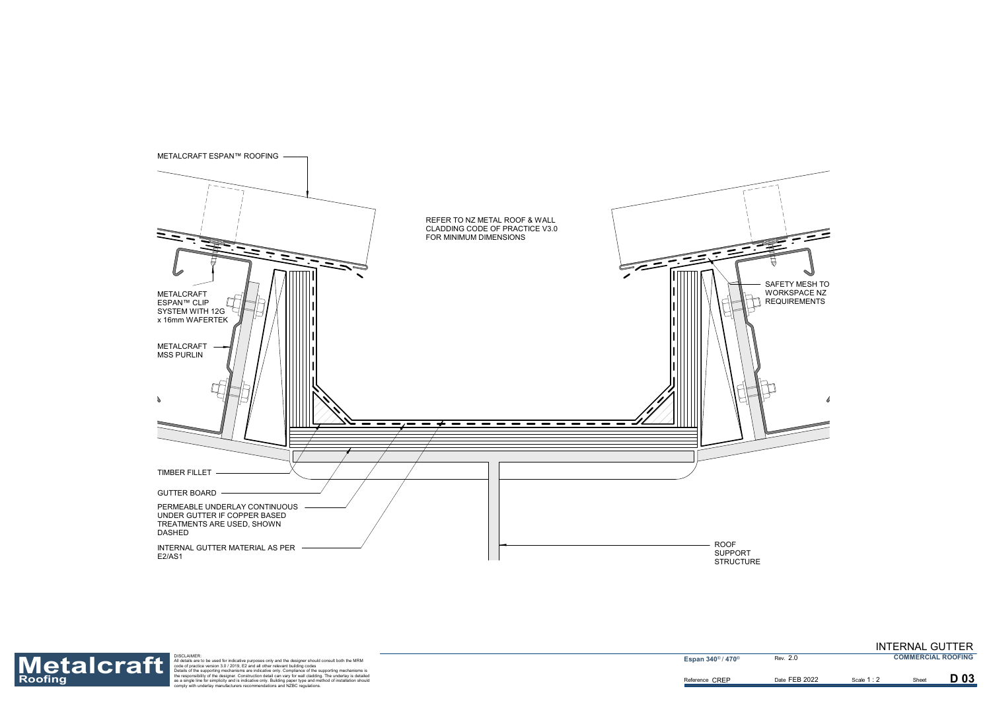



Roofing<br>Roofing as a single for simplic the separation detail are to be used for indicative purposes only and the designer should consult both the MRM<br>
Materials are to be used for indicative purposes only and the designer

2.0

Date FEB 2022 **Scale 1:2** Sheet

Scale **1** : 2

D 03

INTERNAL GUTTER **COMMERCIAL ROOFING**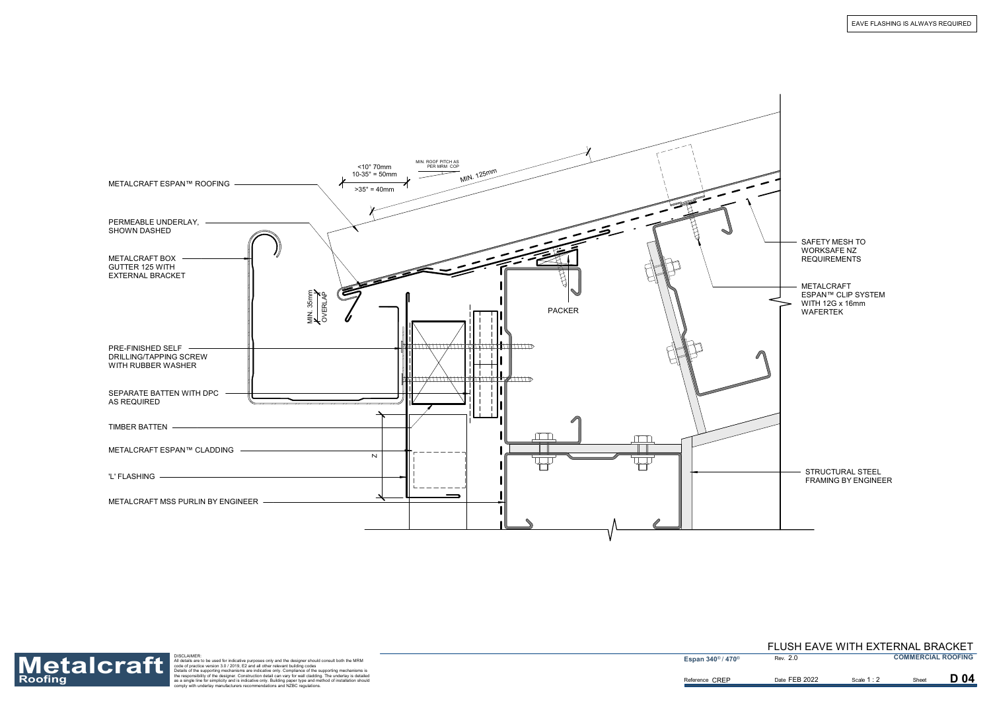

EAVE FLASHING IS ALWAYS REQUIRED

Reference CREP



Roofing<br>Roofing as a single for simplic the separation detail are to be used for indicative purposes only and the designer should consult both the MRM<br>
Materials are to be used for indicative purposes only and the designer

**Espan 340<sup>®</sup> / 470<sup>®</sup>** 

2.0

D 04

Date FEB 2022 **Scale 1:2** Sheet

Scale **1** : 2

### FLUSH EAVE WITH EXTERNAL BRACKET **COMMERCIAL ROOFING**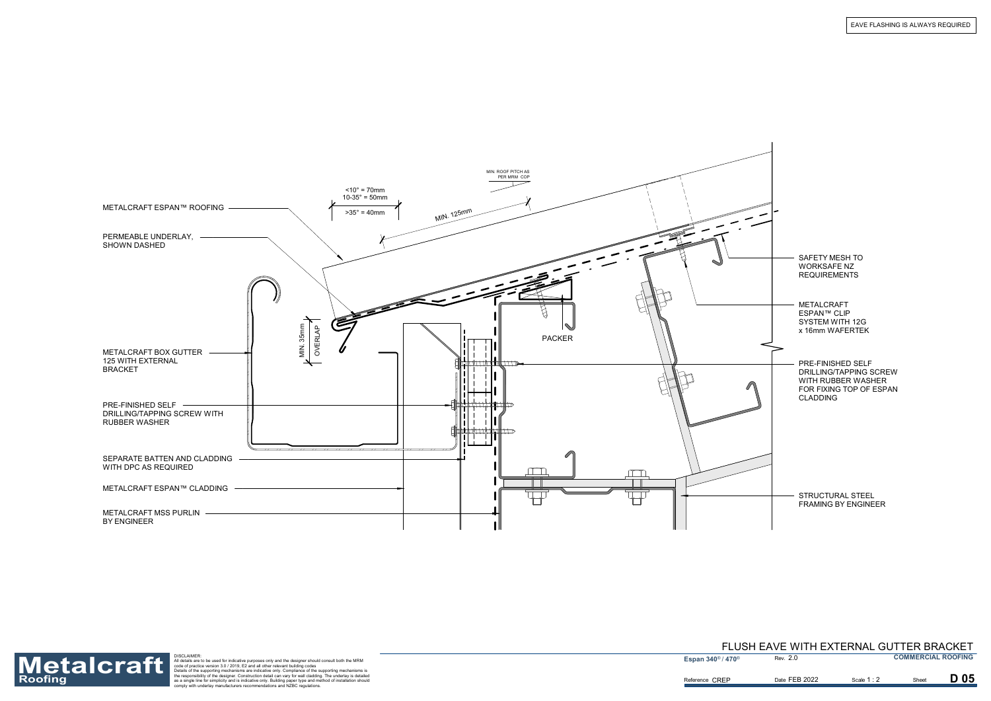|                                                                   |                                                                            | MIN. ROOF PITCH AS<br>PER MRM COP       |  |
|-------------------------------------------------------------------|----------------------------------------------------------------------------|-----------------------------------------|--|
| METALCRAFT ESPAN™ ROOFING                                         | $<$ 10 $^{\circ}$ = 70mm<br>$10-35^{\circ} = 50$ mm<br>$>35^\circ = 40$ mm | MIN. 125mm                              |  |
| PERMEABLE UNDERLAY, -<br>SHOWN DASHED                             |                                                                            |                                         |  |
| METALCRAFT BOX GUTTER<br>125 WITH EXTERNAL<br><b>BRACKET</b>      | MIN. 35mm<br>OVERLAP                                                       | <b>PACKER</b><br>,,,,,, <b>,,,,</b> ,,, |  |
| PRE-FINISHED SELF<br>DRILLING/TAPPING SCREW WITH<br>RUBBER WASHER |                                                                            | $\frac{1}{2}$<br>11D                    |  |
| SEPARATE BATTEN AND CLADDING<br>WITH DPC AS REQUIRED              |                                                                            |                                         |  |
| METALCRAFT ESPAN™ CLADDING                                        |                                                                            |                                         |  |
| METALCRAFT MSS PURLIN -<br>BY ENGINEER                            |                                                                            |                                         |  |



EAVE FLASHING IS ALWAYS REQUIRED

Reference CREP



Roofing<br>Roofing as a single for simplic the separation detail are to be used for indicative purposes only and the designer should consult both the MRM<br>
Materials are to be used for indicative purposes only and the designer

**Espan 340<sup>®</sup> / 470<sup>®</sup>** 

1 : 2

D 05

2.0 FLUSH EAVE WITH EXTERNAL GUTTER BRACKET **COMMERCIAL ROOFING**

Date FEB 2022 **Scale 1:2** Sheet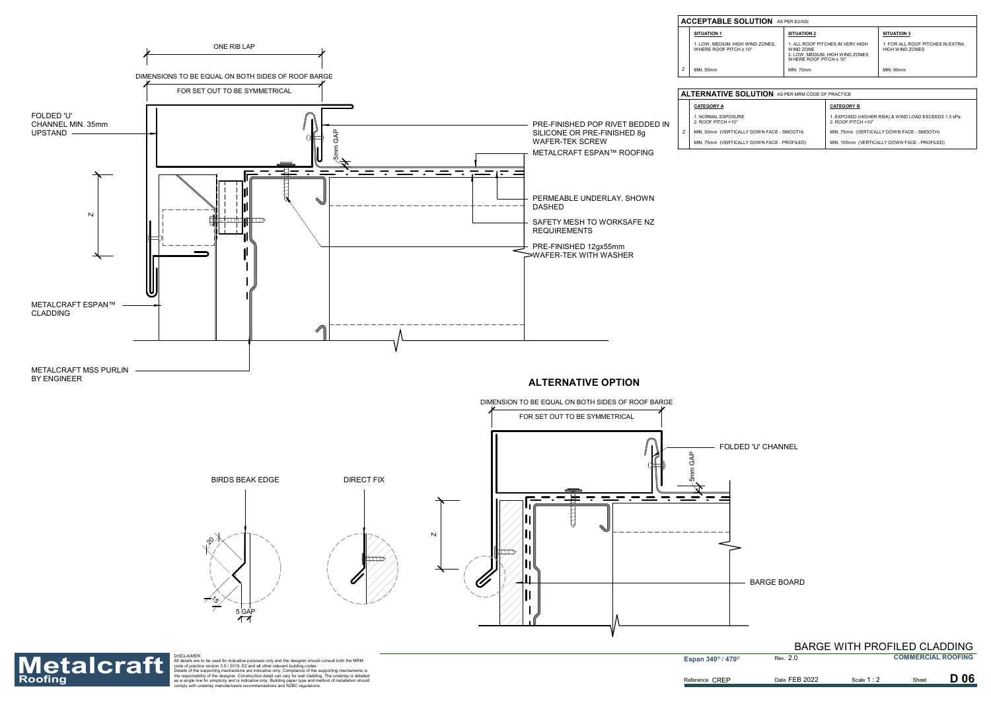FOLDED 'U' CHANNEL

BARGE BOARD



| <b>UTION</b> AS PER MRM CODE OF PRACTICE                              |                                                                             |  |
|-----------------------------------------------------------------------|-----------------------------------------------------------------------------|--|
| <b>CATEGORY B</b>                                                     |                                                                             |  |
|                                                                       | 1. EXPOSED (HIGHER RISK) & WIND LOAD EXCEEDS 1.5 kPa.<br>2. ROOF PITCH <10° |  |
| DOWN FACE - SMOOTH)                                                   | MIN. 75mm (VERTICALLY DOWN FACE - SMOOTH)                                   |  |
| MIN. 100mm (VERTICALLY DOWN FACE - PROFILED)<br>DOWN FACE - PROFILED) |                                                                             |  |

| <b>UTION</b> AS PER E2/ASI |                                                                                                                        |                                                            |  |  |
|----------------------------|------------------------------------------------------------------------------------------------------------------------|------------------------------------------------------------|--|--|
|                            | <b>SITUATION 2</b>                                                                                                     | <b>SITUATION 3</b>                                         |  |  |
| IND ZONES.<br>ገ°           | 1. ALL ROOF PITCHES IN VERY HIGH<br>WIND ZONE<br>2. LOW, MEDIUM, HIGH WIND ZONES<br>WHERE ROOF PITCH $\leq 10^{\circ}$ | 1. FOR ALL ROOF PITCHES IN EXTRA<br><b>HIGH WIND ZONES</b> |  |  |
|                            | <b>MIN. 70mm</b>                                                                                                       | <b>MIN. 90mm</b>                                           |  |  |
|                            |                                                                                                                        |                                                            |  |  |

Reference CREP



Roofing<br>Roofing as a single for simplic the separation detail are to be used for indicative purposes only and the designer should consult both the MRM<br>
Materials are to be used for indicative purposes only and the designer

**Espan 340<sup>®</sup> / 470<sup>®</sup>** 

2.0

# BARGE WITH PROFILED CLADDING

**COMMERCIAL ROOFING**

**D** 06

Date FEB 2022 **Scale 1:2** Sheet

Scale **1** : 2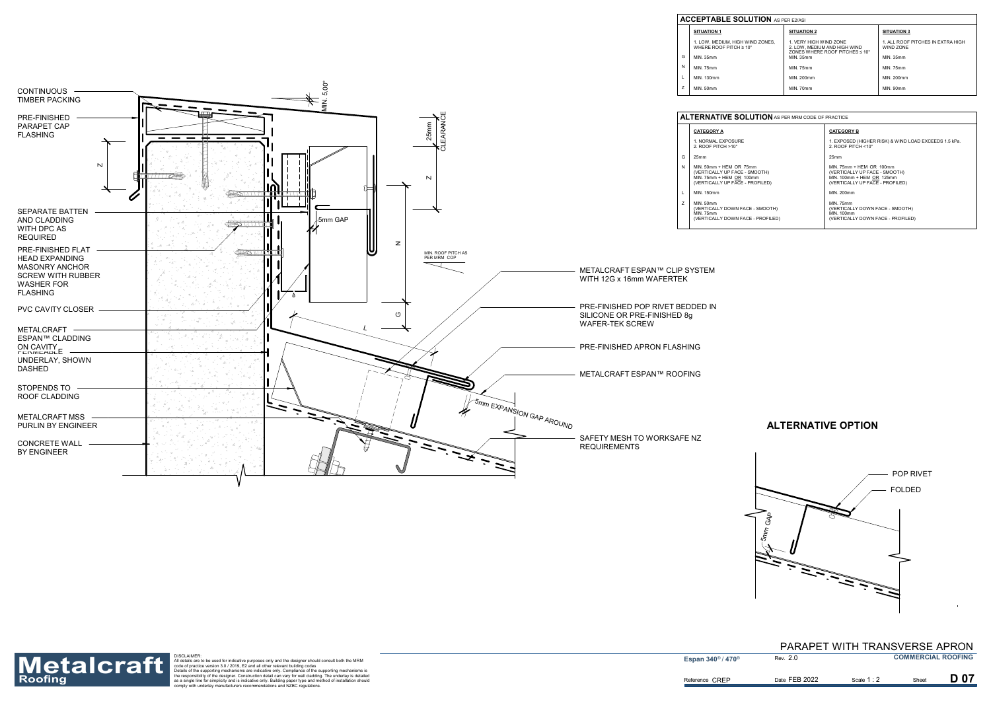

# **ALTERNATIVE OPTION**



| <b>ACCEPTABLE SOLUTION</b> AS PER E2/ASI |                                                                        |                                                                                                      |                                                |  |  |
|------------------------------------------|------------------------------------------------------------------------|------------------------------------------------------------------------------------------------------|------------------------------------------------|--|--|
|                                          | <b>SITUATION 1</b>                                                     | <b>SITUATION 2</b>                                                                                   | <b>SITUATION 3</b>                             |  |  |
|                                          | 1. LOW. MEDIUM. HIGH WIND ZONES.<br>WHERE ROOF PITCH $\geq 10^{\circ}$ | 1. VERY HIGH WIND ZONE<br>2. LOW. MEDIUM AND HIGH WIND<br>ZONES WHERE ROOF PITCHES $\leq 10^{\circ}$ | 1. ALL ROOF PITCHES IN EXTRA HIGH<br>WIND ZONE |  |  |
| G                                        | MIN. 35mm                                                              | MIN. 35mm                                                                                            | MIN. 35mm                                      |  |  |
| N                                        | <b>MIN. 75mm</b>                                                       | <b>MIN. 75mm</b>                                                                                     | <b>MIN. 75mm</b>                               |  |  |
|                                          | MIN. 130mm                                                             | MIN. 200mm                                                                                           | MIN. 200mm                                     |  |  |
|                                          | MIN. 50mm                                                              | MIN. 70mm                                                                                            | <b>MIN. 90mm</b>                               |  |  |

| <b>UTION</b> AS PER MRM CODE OF PRACTICE |                                                                                                                           |  |
|------------------------------------------|---------------------------------------------------------------------------------------------------------------------------|--|
|                                          | <b>CATEGORY B</b>                                                                                                         |  |
|                                          | 1. EXPOSED (HIGHER RISK) & WIND LOAD EXCEEDS 1.5 kPa.<br>2. ROOF PITCH <10°                                               |  |
|                                          | 25mm                                                                                                                      |  |
| imm<br>SMOOTH)<br>0mm<br>PROFILED)       | MIN. 75mm + HEM OR 100mm<br>(VERTICALLY UP FACE - SMOOTH)<br>MIN. 100mm + HEM OR 125mm<br>(VERTICALLY UP FACE - PROFILED) |  |
|                                          | MIN. 200mm                                                                                                                |  |
|                                          | <b>MIN. 75mm</b>                                                                                                          |  |
| <b>E-SMOOTH)</b>                         | (VERTICALLY DOWN FACE - SMOOTH)<br>MIN. 100mm                                                                             |  |
| <b>E-PROFILED)</b>                       | (VERTICALLY DOWN FACE - PROFILED)                                                                                         |  |

Reference CREP



Roofing<br>Roofing as a single for simplic the separation detail are to be used for indicative purposes only and the designer should consult both the MRM<br>
Materials are to be used for indicative purposes only and the designer

**Espan 340<sup>®</sup> / 470<sup>®</sup>** 

2.0 PARAPET WITH TRANSVERSE APRON **COMMERCIAL ROOFING**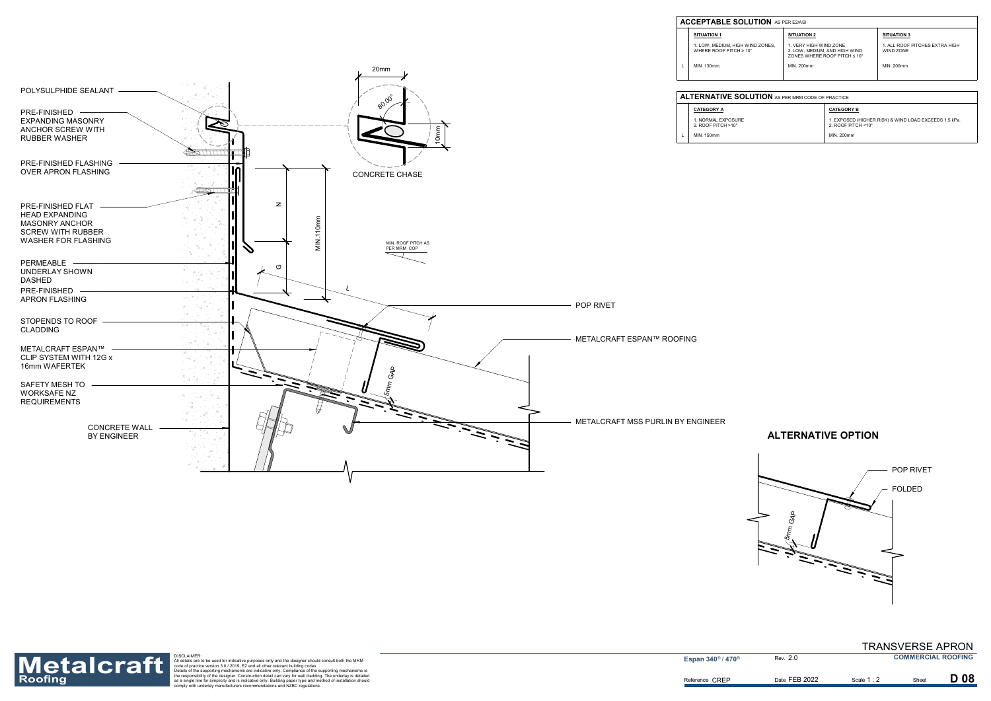

| <b>ACCEPTABLE SOLUTION</b> AS PER E2/ASI |                                                                        |                                                                                                     |                                             |  |  |
|------------------------------------------|------------------------------------------------------------------------|-----------------------------------------------------------------------------------------------------|---------------------------------------------|--|--|
|                                          | <b>SITUATION 1</b>                                                     | <b>SITUATION 2</b>                                                                                  | <b>SITUATION 3</b>                          |  |  |
|                                          | 1. LOW. MEDIUM. HIGH WIND ZONES.<br>WHERE ROOF PITCH $\geq 10^{\circ}$ | 1. VERY HIGH WIND ZONE<br>2. LOW. MEDIUM. AND HIGH WIND<br>ZONES WHERE ROOF PITCH $\leq 10^{\circ}$ | 1. ALL ROOF PITCHES EXTRA HIGH<br>WIND ZONE |  |  |
|                                          | MIN. 130mm                                                             | MIN. 200mm                                                                                          | MIN. 200mm                                  |  |  |
|                                          |                                                                        |                                                                                                     |                                             |  |  |

# **ALTERNATIVE OPTION**



| <b>ALTERNATIVE SOLUTION</b> AS PER MRM CODE OF PRACTICE |                                                   |                                                                                          |  |
|---------------------------------------------------------|---------------------------------------------------|------------------------------------------------------------------------------------------|--|
|                                                         | <b>CATEGORY A</b>                                 | <b>CATEGORY B</b>                                                                        |  |
|                                                         | 1. NORMAL EXPOSURE<br>2. ROOF PITCH $>10^{\circ}$ | 1. EXPOSED (HIGHER RISK) & WIND LOAD EXCEEDS 1.5 kPa.<br>2. ROOF PITCH $<$ 10 $^{\circ}$ |  |
|                                                         | MIN. 150mm                                        | MIN. 200mm                                                                               |  |



Roofing<br>Roofing as a single for simplic the separation detail are to be used for indicative purposes only and the designer should consult both the MRM<br>
Materials are to be used for indicative purposes only and the designer

2.0

**D08** 

Scale 1 : 2

TRANSVERSE APRON **COMMERCIAL ROOFING**